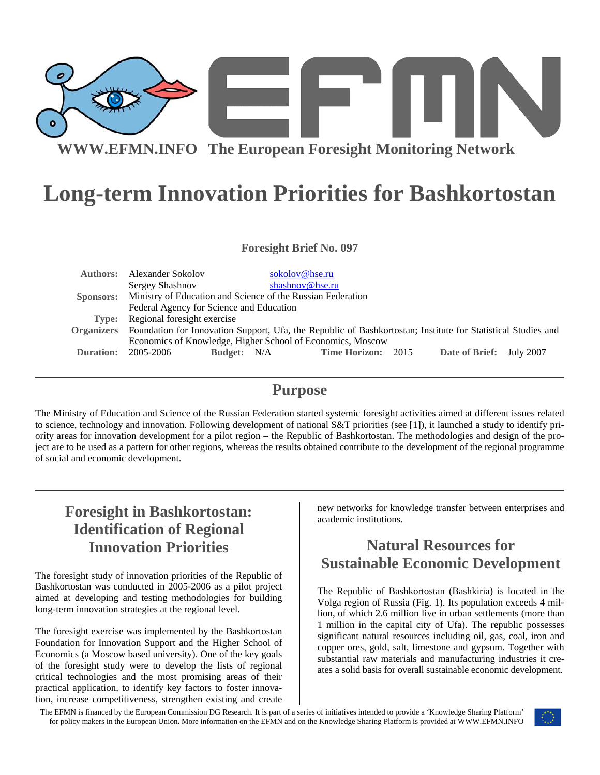

# **Long-term Innovation Priorities for Bashkortostan**

**Foresight Brief No. 097** 

| <b>Authors:</b>   | Alexander Sokolov                                                                                            | sokolov@hse.ru  |                    |  |                          |  |
|-------------------|--------------------------------------------------------------------------------------------------------------|-----------------|--------------------|--|--------------------------|--|
|                   | Sergey Shashnov                                                                                              | shashnov@hse.ru |                    |  |                          |  |
|                   | Sponsors: Ministry of Education and Science of the Russian Federation                                        |                 |                    |  |                          |  |
|                   | Federal Agency for Science and Education                                                                     |                 |                    |  |                          |  |
|                   | Type: Regional foresight exercise                                                                            |                 |                    |  |                          |  |
| <b>Organizers</b> | Foundation for Innovation Support, Ufa, the Republic of Bashkortostan; Institute for Statistical Studies and |                 |                    |  |                          |  |
|                   | Economics of Knowledge, Higher School of Economics, Moscow                                                   |                 |                    |  |                          |  |
| Duration:         | Budget: N/A<br>2005-2006                                                                                     |                 | Time Horizon: 2015 |  | Date of Brief: July 2007 |  |
|                   |                                                                                                              |                 |                    |  |                          |  |

#### **Purpose**

The Ministry of Education and Science of the Russian Federation started systemic foresight activities aimed at different issues related to science, technology and innovation. Following development of national S&T priorities (see [1]), it launched a study to identify priority areas for innovation development for a pilot region – the Republic of Bashkortostan. The methodologies and design of the project are to be used as a pattern for other regions, whereas the results obtained contribute to the development of the regional programme of social and economic development.

## **Foresight in Bashkortostan: Identification of Regional Innovation Priorities**

The foresight study of innovation priorities of the Republic of Bashkortostan was conducted in 2005-2006 as a pilot project aimed at developing and testing methodologies for building long-term innovation strategies at the regional level.

The foresight exercise was implemented by the Bashkortostan Foundation for Innovation Support and the Higher School of Economics (a Moscow based university). One of the key goals of the foresight study were to develop the lists of regional critical technologies and the most promising areas of their practical application, to identify key factors to foster innovation, increase competitiveness, strengthen existing and create new networks for knowledge transfer between enterprises and academic institutions.

## **Natural Resources for Sustainable Economic Development**

The Republic of Bashkortostan (Bashkiria) is located in the Volga region of Russia (Fig. 1). Its population exceeds 4 million, of which 2.6 million live in urban settlements (more than 1 million in the capital city of Ufa). The republic possesses significant natural resources including oil, gas, coal, iron and copper ores, gold, salt, limestone and gypsum. Together with substantial raw materials and manufacturing industries it creates a solid basis for overall sustainable economic development.

The EFMN is financed by the European Commission DG Research. It is part of a series of initiatives intended to provide a 'Knowledge Sharing Platform' for policy makers in the European Union. More information on the EFMN and on the Knowledge Sharing Platform is provided at WWW.EFMN.INFO

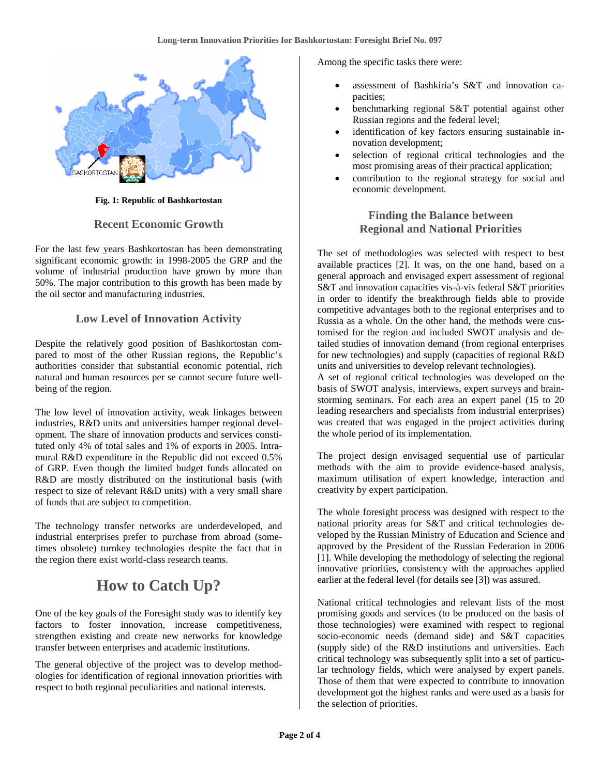

**Fig. 1: Republic of Bashkortostan** 

#### **Recent Economic Growth**

For the last few years Bashkortostan has been demonstrating significant economic growth: in 1998-2005 the GRP and the volume of industrial production have grown by more than 50%. The major contribution to this growth has been made by the oil sector and manufacturing industries.

#### **Low Level of Innovation Activity**

Despite the relatively good position of Bashkortostan compared to most of the other Russian regions, the Republic's authorities consider that substantial economic potential, rich natural and human resources per se cannot secure future wellbeing of the region.

The low level of innovation activity, weak linkages between industries, R&D units and universities hamper regional development. The share of innovation products and services constituted only 4% of total sales and 1% of exports in 2005. Intramural R&D expenditure in the Republic did not exceed 0.5% of GRP. Even though the limited budget funds allocated on R&D are mostly distributed on the institutional basis (with respect to size of relevant R&D units) with a very small share of funds that are subject to competition.

The technology transfer networks are underdeveloped, and industrial enterprises prefer to purchase from abroad (sometimes obsolete) turnkey technologies despite the fact that in the region there exist world-class research teams.

#### **How to Catch Up?**

One of the key goals of the Foresight study was to identify key factors to foster innovation, increase competitiveness, strengthen existing and create new networks for knowledge transfer between enterprises and academic institutions.

The general objective of the project was to develop methodologies for identification of regional innovation priorities with respect to both regional peculiarities and national interests.

Among the specific tasks there were:

- assessment of Bashkiria's S&T and innovation capacities;
- benchmarking regional S&T potential against other Russian regions and the federal level;
- identification of key factors ensuring sustainable innovation development;
- selection of regional critical technologies and the most promising areas of their practical application;
- contribution to the regional strategy for social and economic development.

#### **Finding the Balance between Regional and National Priorities**

The set of methodologies was selected with respect to best available practices [2]. It was, on the one hand, based on a general approach and envisaged expert assessment of regional S&T and innovation capacities vis-à-vis federal S&T priorities in order to identify the breakthrough fields able to provide competitive advantages both to the regional enterprises and to Russia as a whole. On the other hand, the methods were customised for the region and included SWOT analysis and detailed studies of innovation demand (from regional enterprises for new technologies) and supply (capacities of regional R&D units and universities to develop relevant technologies).

A set of regional critical technologies was developed on the basis of SWOT analysis, interviews, expert surveys and brainstorming seminars. For each area an expert panel (15 to 20 leading researchers and specialists from industrial enterprises) was created that was engaged in the project activities during the whole period of its implementation.

The project design envisaged sequential use of particular methods with the aim to provide evidence-based analysis, maximum utilisation of expert knowledge, interaction and creativity by expert participation.

The whole foresight process was designed with respect to the national priority areas for S&T and critical technologies developed by the Russian Ministry of Education and Science and approved by the President of the Russian Federation in 2006 [1]. While developing the methodology of selecting the regional innovative priorities, consistency with the approaches applied earlier at the federal level (for details see [3]) was assured.

National critical technologies and relevant lists of the most promising goods and services (to be produced on the basis of those technologies) were examined with respect to regional socio-economic needs (demand side) and S&T capacities (supply side) of the R&D institutions and universities. Each critical technology was subsequently split into a set of particular technology fields, which were analysed by expert panels. Those of them that were expected to contribute to innovation development got the highest ranks and were used as a basis for the selection of priorities.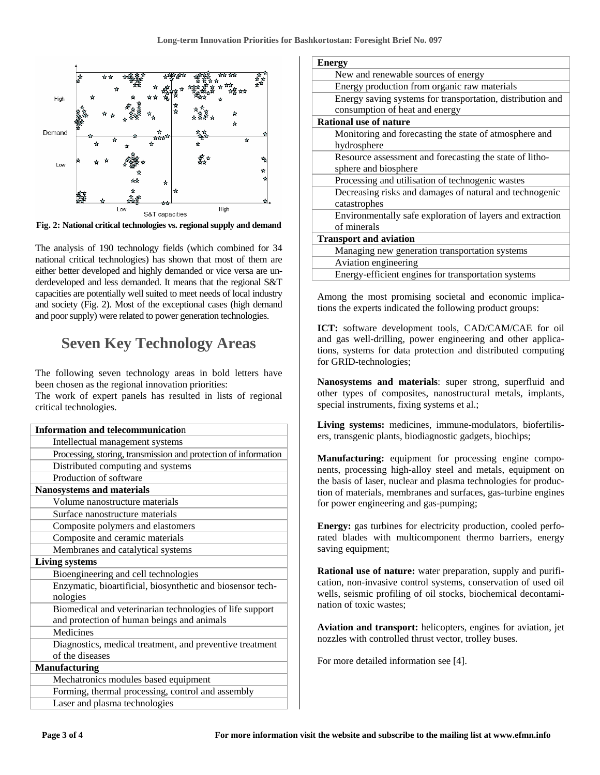

**Fig. 2: National critical technologies vs. regional supply and demand**

The analysis of 190 technology fields (which combined for 34 national critical technologies) has shown that most of them are either better developed and highly demanded or vice versa are underdeveloped and less demanded. It means that the regional S&T capacities are potentially well suited to meet needs of local industry and society (Fig. 2). Most of the exceptional cases (high demand and poor supply) were related to power generation technologies.

### **Seven Key Technology Areas**

The following seven technology areas in bold letters have been chosen as the regional innovation priorities:

The work of expert panels has resulted in lists of regional critical technologies.

| <b>Information and telecommunication</b>                        |  |  |
|-----------------------------------------------------------------|--|--|
| Intellectual management systems                                 |  |  |
| Processing, storing, transmission and protection of information |  |  |
| Distributed computing and systems                               |  |  |
| Production of software                                          |  |  |
| <b>Nanosystems and materials</b>                                |  |  |
| Volume nanostructure materials                                  |  |  |
| Surface nanostructure materials                                 |  |  |
| Composite polymers and elastomers                               |  |  |
| Composite and ceramic materials                                 |  |  |
| Membranes and catalytical systems                               |  |  |
| <b>Living systems</b>                                           |  |  |
| Bioengineering and cell technologies                            |  |  |
| Enzymatic, bioartificial, biosynthetic and biosensor tech-      |  |  |
| nologies                                                        |  |  |
| Biomedical and veterinarian technologies of life support        |  |  |
| and protection of human beings and animals                      |  |  |
| Medicines                                                       |  |  |
| Diagnostics, medical treatment, and preventive treatment        |  |  |
| of the diseases                                                 |  |  |
| <b>Manufacturing</b>                                            |  |  |
| Mechatronics modules based equipment                            |  |  |
| Forming, thermal processing, control and assembly               |  |  |
| Laser and plasma technologies                                   |  |  |

| Energy                                                     |  |  |  |
|------------------------------------------------------------|--|--|--|
| New and renewable sources of energy                        |  |  |  |
| Energy production from organic raw materials               |  |  |  |
| Energy saving systems for transportation, distribution and |  |  |  |
| consumption of heat and energy                             |  |  |  |
| <b>Rational use of nature</b>                              |  |  |  |
| Monitoring and forecasting the state of atmosphere and     |  |  |  |
| hydrosphere                                                |  |  |  |
| Resource assessment and forecasting the state of litho-    |  |  |  |
| sphere and biosphere                                       |  |  |  |
| Processing and utilisation of technogenic wastes           |  |  |  |
| Decreasing risks and damages of natural and technogenic    |  |  |  |
| catastrophes                                               |  |  |  |
| Environmentally safe exploration of layers and extraction  |  |  |  |
| of minerals                                                |  |  |  |
| <b>Transport and aviation</b>                              |  |  |  |
| Managing new generation transportation systems             |  |  |  |
| Aviation engineering                                       |  |  |  |
| Energy-efficient engines for transportation systems        |  |  |  |

Among the most promising societal and economic implications the experts indicated the following product groups:

**ICT:** software development tools, CAD/CAM/CAE for oil and gas well-drilling, power engineering and other applications, systems for data protection and distributed computing for GRID-technologies;

**Nanosystems and materials**: super strong, superfluid and other types of composites, nanostructural metals, implants, special instruments, fixing systems et al.;

**Living systems:** medicines, immune-modulators, biofertilisers, transgenic plants, biodiagnostic gadgets, biochips;

**Manufacturing:** equipment for processing engine components, processing high-alloy steel and metals, equipment on the basis of laser, nuclear and plasma technologies for production of materials, membranes and surfaces, gas-turbine engines for power engineering and gas-pumping;

**Energy:** gas turbines for electricity production, cooled perforated blades with multicomponent thermo barriers, energy saving equipment;

**Rational use of nature:** water preparation, supply and purification, non-invasive control systems, conservation of used oil wells, seismic profiling of oil stocks, biochemical decontamination of toxic wastes;

**Aviation and transport:** helicopters, engines for aviation, jet nozzles with controlled thrust vector, trolley buses.

For more detailed information see [4].